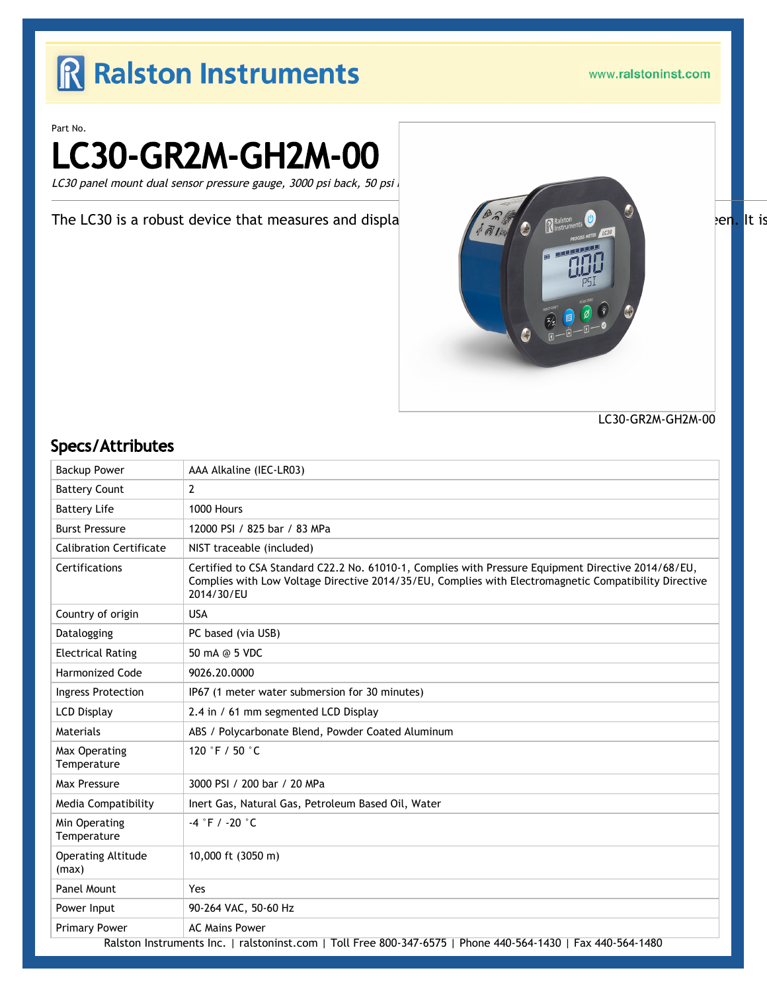# R Ralston Instruments

www.ralstoninst.com

Part No.

# LC30-GR2M-GH2M-00

LC30 panel mount dual sensor pressure gauge, 3000 psi back, 50 psi

The LC30 is a robust device that measures and displa $\sqrt{\frac{\rho_{\alpha}}{n}}$  are  $\sqrt{\frac{n}{n}}$ 



LC30-GR2M-GH2M-00

#### Specs/Attributes

| <b>Backup Power</b>                | AAA Alkaline (IEC-LR03)                                                                                                                                                                                                    |
|------------------------------------|----------------------------------------------------------------------------------------------------------------------------------------------------------------------------------------------------------------------------|
| <b>Battery Count</b>               | $\overline{2}$                                                                                                                                                                                                             |
| <b>Battery Life</b>                | 1000 Hours                                                                                                                                                                                                                 |
| <b>Burst Pressure</b>              | 12000 PSI / 825 bar / 83 MPa                                                                                                                                                                                               |
| <b>Calibration Certificate</b>     | NIST traceable (included)                                                                                                                                                                                                  |
| Certifications                     | Certified to CSA Standard C22.2 No. 61010-1, Complies with Pressure Equipment Directive 2014/68/EU,<br>Complies with Low Voltage Directive 2014/35/EU, Complies with Electromagnetic Compatibility Directive<br>2014/30/EU |
| Country of origin                  | <b>USA</b>                                                                                                                                                                                                                 |
| Datalogging                        | PC based (via USB)                                                                                                                                                                                                         |
| <b>Electrical Rating</b>           | 50 mA @ 5 VDC                                                                                                                                                                                                              |
| <b>Harmonized Code</b>             | 9026.20.0000                                                                                                                                                                                                               |
| <b>Ingress Protection</b>          | IP67 (1 meter water submersion for 30 minutes)                                                                                                                                                                             |
| <b>LCD Display</b>                 | 2.4 in / 61 mm segmented LCD Display                                                                                                                                                                                       |
| Materials                          | ABS / Polycarbonate Blend, Powder Coated Aluminum                                                                                                                                                                          |
| Max Operating<br>Temperature       | 120 °F / 50 °C                                                                                                                                                                                                             |
| Max Pressure                       | 3000 PSI / 200 bar / 20 MPa                                                                                                                                                                                                |
| Media Compatibility                | Inert Gas, Natural Gas, Petroleum Based Oil, Water                                                                                                                                                                         |
| Min Operating<br>Temperature       | $-4$ °F / -20 °C                                                                                                                                                                                                           |
| <b>Operating Altitude</b><br>(max) | 10,000 ft (3050 m)                                                                                                                                                                                                         |
| Panel Mount                        | Yes                                                                                                                                                                                                                        |
| Power Input                        | 90-264 VAC, 50-60 Hz                                                                                                                                                                                                       |
| <b>Primary Power</b>               | <b>AC Mains Power</b>                                                                                                                                                                                                      |
|                                    | Ralston Instruments Inc.   ralstoninst.com   Toll Free 800-347-6575   Phone 440-564-1430   Fax 440-564-1480                                                                                                                |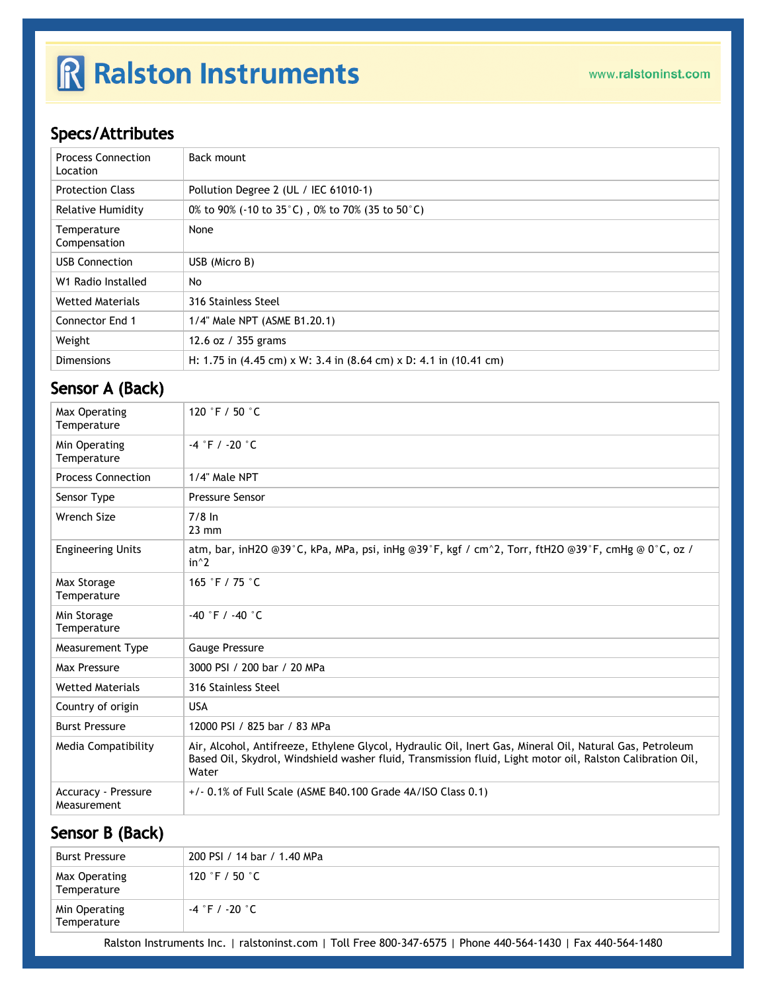# R Ralston Instruments

## Specs/Attributes

| <b>Process Connection</b><br>Location | Back mount                                                                                                  |
|---------------------------------------|-------------------------------------------------------------------------------------------------------------|
| <b>Protection Class</b>               | Pollution Degree 2 (UL / IEC 61010-1)                                                                       |
| Relative Humidity                     | 0% to 90% (-10 to 35 $^{\circ}$ C), 0% to 70% (35 to 50 $^{\circ}$ C)                                       |
| Temperature<br>Compensation           | None                                                                                                        |
| <b>USB Connection</b>                 | USB (Micro B)                                                                                               |
| W1 Radio Installed                    | No                                                                                                          |
| <b>Wetted Materials</b>               | 316 Stainless Steel                                                                                         |
| Connector End 1                       | 1/4" Male NPT (ASME B1.20.1)                                                                                |
| Weight                                | 12.6 oz / 355 grams                                                                                         |
| <b>Dimensions</b>                     | H: 1.75 in $(4.45 \text{ cm}) \times W$ : 3.4 in $(8.64 \text{ cm}) \times D$ : 4.1 in $(10.41 \text{ cm})$ |

### Sensor A (Back)

| Max Operating<br>Temperature              | 120 °F / 50 $^{\circ}$ C                                                                                                                                                                                                        |
|-------------------------------------------|---------------------------------------------------------------------------------------------------------------------------------------------------------------------------------------------------------------------------------|
| Min Operating<br>Temperature              | $-4$ $\degree$ F / $-20$ $\degree$ C                                                                                                                                                                                            |
| <b>Process Connection</b>                 | 1/4" Male NPT                                                                                                                                                                                                                   |
| Sensor Type                               | <b>Pressure Sensor</b>                                                                                                                                                                                                          |
| <b>Wrench Size</b>                        | $7/8$ In<br>$23 \text{ mm}$                                                                                                                                                                                                     |
| <b>Engineering Units</b>                  | atm, bar, inH2O @39°C, kPa, MPa, psi, inHg @39°F, kgf / cm^2, Torr, ftH2O @39°F, cmHg @ 0°C, oz /<br>$in^2$                                                                                                                     |
| Max Storage<br>Temperature                | 165 °F / 75 °C                                                                                                                                                                                                                  |
| Min Storage<br>Temperature                | $-40$ °F / $-40$ °C                                                                                                                                                                                                             |
| Measurement Type                          | <b>Gauge Pressure</b>                                                                                                                                                                                                           |
| Max Pressure                              | 3000 PSI / 200 bar / 20 MPa                                                                                                                                                                                                     |
| <b>Wetted Materials</b>                   | 316 Stainless Steel                                                                                                                                                                                                             |
| Country of origin                         | <b>USA</b>                                                                                                                                                                                                                      |
| <b>Burst Pressure</b>                     | 12000 PSI / 825 bar / 83 MPa                                                                                                                                                                                                    |
| Media Compatibility                       | Air, Alcohol, Antifreeze, Ethylene Glycol, Hydraulic Oil, Inert Gas, Mineral Oil, Natural Gas, Petroleum<br>Based Oil, Skydrol, Windshield washer fluid, Transmission fluid, Light motor oil, Ralston Calibration Oil,<br>Water |
| <b>Accuracy - Pressure</b><br>Measurement | $+/-$ 0.1% of Full Scale (ASME B40.100 Grade 4A/ISO Class 0.1)                                                                                                                                                                  |

### Sensor B (Back)

| Burst Pressure               | 200 PSI / 14 bar / 1.40 MPa       |
|------------------------------|-----------------------------------|
| Max Operating<br>Temperature | 120 $\degree$ F / 50 $\degree$ C  |
| Min Operating<br>Temperature | $-4 \degree$ F / -20 $^{\circ}$ C |
|                              | --- - - - ---- - - -              |

Ralston Instruments Inc. | [ralstoninst.com](https://www.ralstoninst.com) | Toll Free 800-347-6575 | Phone 440-564-1430 | Fax 440-564-1480